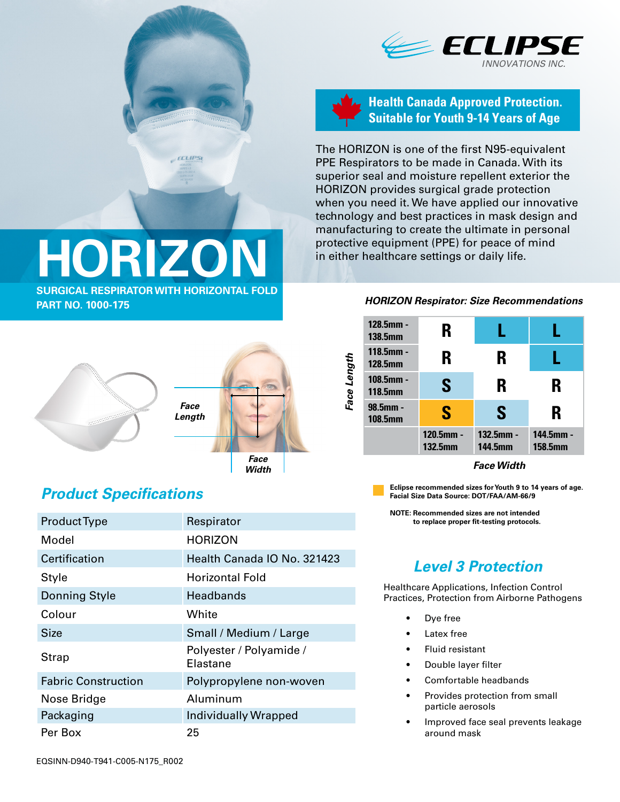

#### **Health Canada Approved Protection. Suitable for Youth 9-14 Years of Age**

The HORIZON is one of the first N95-equivalent PPE Respirators to be made in Canada. With its superior seal and moisture repellent exterior the HORIZON provides surgical grade protection when you need it. We have applied our innovative technology and best practices in mask design and manufacturing to create the ultimate in personal protective equipment (PPE) for peace of mind in either healthcare settings or daily life.

# **HORIZON SURGICAL RESPIRATOR WITH HORIZONTAL FOLD**

**ECLIPS** 

**PART NO. 1000-175**





## *Product Specifications*

| <b>Product Type</b>        | Respirator                          |  |  |
|----------------------------|-------------------------------------|--|--|
| Model                      | <b>HORIZON</b>                      |  |  |
| Certification              | Health Canada IO No. 321423         |  |  |
| Style                      | <b>Horizontal Fold</b>              |  |  |
| <b>Donning Style</b>       | <b>Headbands</b>                    |  |  |
| Colour                     | White                               |  |  |
| Size                       | Small / Medium / Large              |  |  |
| Strap                      | Polyester / Polyamide /<br>Elastane |  |  |
| <b>Fabric Construction</b> | Polypropylene non-woven             |  |  |
| Nose Bridge                | Aluminum                            |  |  |
| Packaging                  | Individually Wrapped                |  |  |
| Per Box                    | 25                                  |  |  |

#### *HORIZON Respirator: Size Recommendations*

| Face Length | 128.5mm -<br><b>138.5mm</b> | R                              |                                |                             |
|-------------|-----------------------------|--------------------------------|--------------------------------|-----------------------------|
|             | 118.5mm -<br><b>128.5mm</b> | R                              | R                              |                             |
|             | 108.5mm -<br><b>118.5mm</b> | S                              | R                              | R                           |
|             | 98.5mm -<br><b>108.5mm</b>  | S                              | S                              | R                           |
|             |                             | $120.5$ mm -<br><b>132.5mm</b> | $132.5$ mm -<br><b>144.5mm</b> | 144.5mm -<br><b>158.5mm</b> |

**Eclipse recommended sizes for Youth 9 to 14 years of age. Facial Size Data Source: DOT/FAA/AM-66/9**

**NOTE: Recommended sizes are not intended to replace proper fit-testing protocols.**

## *Level 3 Protection*

Healthcare Applications, Infection Control Practices, Protection from Airborne Pathogens

- Dye free
- Latex free
- Fluid resistant
- Double layer filter
- Comfortable headbands
- Provides protection from small particle aerosols
- Improved face seal prevents leakage around mask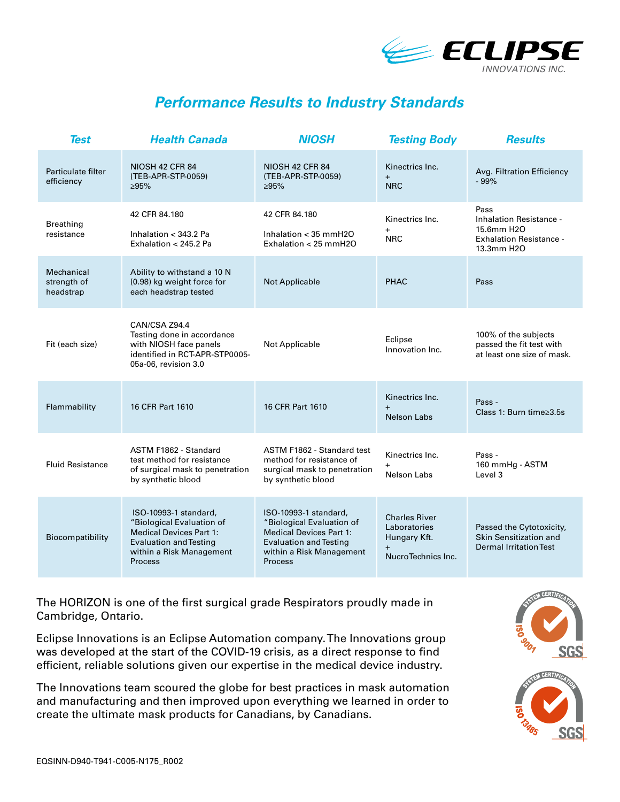

### *Performance Results to Industry Standards*

| <b>Test</b>                            | <b>Health Canada</b>                                                                                                                                                | <b>NIOSH</b>                                                                                                                                                        | <b>Testing Body</b>                                                        | <b>Results</b>                                                                                |
|----------------------------------------|---------------------------------------------------------------------------------------------------------------------------------------------------------------------|---------------------------------------------------------------------------------------------------------------------------------------------------------------------|----------------------------------------------------------------------------|-----------------------------------------------------------------------------------------------|
| Particulate filter<br>efficiency       | <b>NIOSH 42 CFR 84</b><br>(TEB-APR-STP-0059)<br>>95%                                                                                                                | <b>NIOSH 42 CFR 84</b><br>(TEB-APR-STP-0059)<br>>95%                                                                                                                | Kinectrics Inc.<br>$+$<br><b>NRC</b>                                       | Avg. Filtration Efficiency<br>$-99%$                                                          |
| <b>Breathing</b><br>resistance         | 42 CFR 84.180<br>Inhalation < 343.2 Pa<br>Exhalation < 245.2 Pa                                                                                                     | 42 CFR 84.180<br>Inhalation $<$ 35 mmH2O<br>Exhalation < $25$ mmH $20$                                                                                              | Kinectrics Inc.<br>$+$<br><b>NRC</b>                                       | Pass<br>Inhalation Resistance -<br>15.6mm H2O<br><b>Exhalation Resistance -</b><br>13.3mm H2O |
| Mechanical<br>strength of<br>headstrap | Ability to withstand a 10 N<br>(0.98) kg weight force for<br>each headstrap tested                                                                                  | <b>Not Applicable</b>                                                                                                                                               | <b>PHAC</b>                                                                | Pass                                                                                          |
| Fit (each size)                        | CAN/CSA Z94.4<br>Testing done in accordance<br>with NIOSH face panels<br>identified in RCT-APR-STP0005-<br>05a-06, revision 3.0                                     | Not Applicable                                                                                                                                                      | Eclipse<br>Innovation Inc.                                                 | 100% of the subjects<br>passed the fit test with<br>at least one size of mask.                |
| Flammability                           | 16 CFR Part 1610                                                                                                                                                    | 16 CFR Part 1610                                                                                                                                                    | Kinectrics Inc.<br>Nelson Labs                                             | Pass -<br>Class 1: Burn time≥3.5s                                                             |
| <b>Fluid Resistance</b>                | ASTM F1862 - Standard<br>test method for resistance<br>of surgical mask to penetration<br>by synthetic blood                                                        | ASTM F1862 - Standard test<br>method for resistance of<br>surgical mask to penetration<br>by synthetic blood                                                        | Kinectrics Inc.<br>Nelson Labs                                             | Pass -<br>160 mmHg - ASTM<br>Level 3                                                          |
| Biocompatibility                       | ISO-10993-1 standard,<br>"Biological Evaluation of<br><b>Medical Devices Part 1:</b><br><b>Evaluation and Testing</b><br>within a Risk Management<br><b>Process</b> | ISO-10993-1 standard,<br>"Biological Evaluation of<br><b>Medical Devices Part 1:</b><br><b>Evaluation and Testing</b><br>within a Risk Management<br><b>Process</b> | <b>Charles River</b><br>Laboratories<br>Hungary Kft.<br>NucroTechnics Inc. | Passed the Cytotoxicity,<br>Skin Sensitization and<br><b>Dermal Irritation Test</b>           |

The HORIZON is one of the first surgical grade Respirators proudly made in Cambridge, Ontario.

Eclipse Innovations is an Eclipse Automation company. The Innovations group was developed at the start of the COVID-19 crisis, as a direct response to find efficient, reliable solutions given our expertise in the medical device industry.

The Innovations team scoured the globe for best practices in mask automation and manufacturing and then improved upon everything we learned in order to create the ultimate mask products for Canadians, by Canadians.